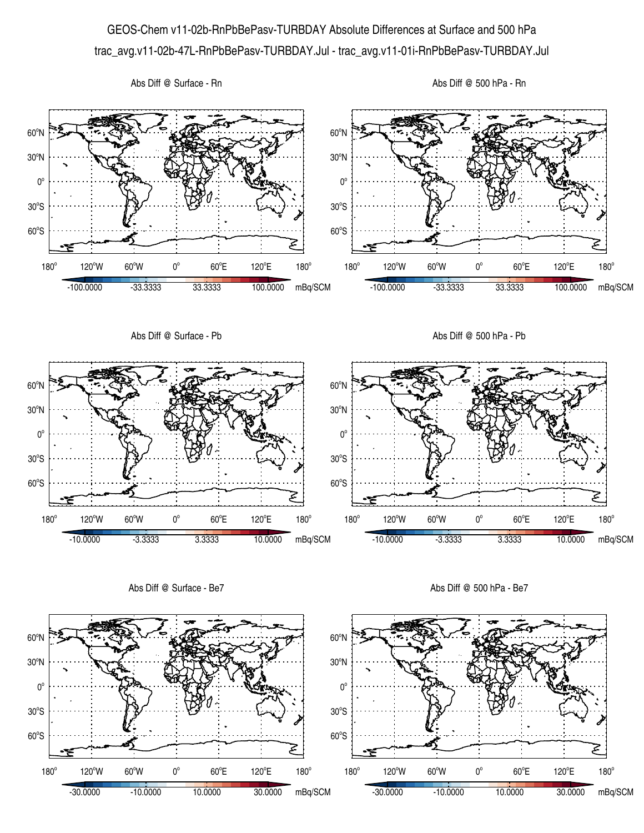## GEOS-Chem v11-02b-RnPbBePasv-TURBDAY Absolute Differences at Surface and 500 hPa trac\_avg.v11-02b-47L-RnPbBePasv-TURBDAY.Jul - trac\_avg.v11-01i-RnPbBePasv-TURBDAY.Jul







Abs Diff @ Surface - Be7

Abs Diff @ 500 hPa - Be7